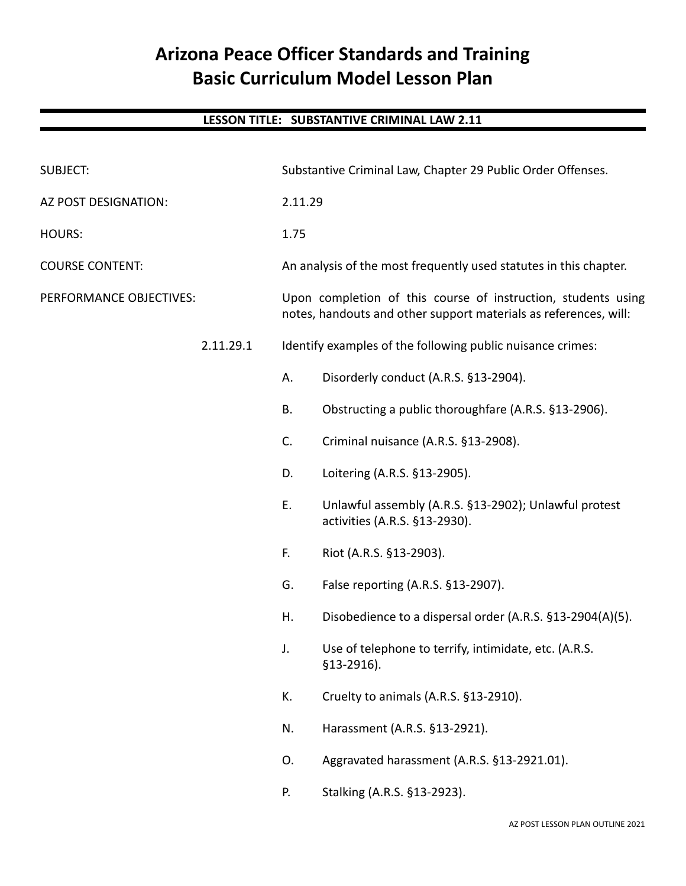# **Arizona Peace Officer Standards and Training Basic Curriculum Model Lesson Plan**

## **LESSON TITLE: SUBSTANTIVE CRIMINAL LAW 2.11**

| <b>SUBJECT:</b>         |           | Substantive Criminal Law, Chapter 29 Public Order Offenses.                                                                       |                                                                                        |
|-------------------------|-----------|-----------------------------------------------------------------------------------------------------------------------------------|----------------------------------------------------------------------------------------|
| AZ POST DESIGNATION:    |           | 2.11.29                                                                                                                           |                                                                                        |
| HOURS:                  |           | 1.75                                                                                                                              |                                                                                        |
| <b>COURSE CONTENT:</b>  |           |                                                                                                                                   | An analysis of the most frequently used statutes in this chapter.                      |
| PERFORMANCE OBJECTIVES: |           | Upon completion of this course of instruction, students using<br>notes, handouts and other support materials as references, will: |                                                                                        |
|                         | 2.11.29.1 | Identify examples of the following public nuisance crimes:                                                                        |                                                                                        |
|                         |           | А.                                                                                                                                | Disorderly conduct (A.R.S. §13-2904).                                                  |
|                         |           | В.                                                                                                                                | Obstructing a public thoroughfare (A.R.S. §13-2906).                                   |
|                         |           | C.                                                                                                                                | Criminal nuisance (A.R.S. §13-2908).                                                   |
|                         |           | D.                                                                                                                                | Loitering (A.R.S. §13-2905).                                                           |
|                         |           | E.                                                                                                                                | Unlawful assembly (A.R.S. §13-2902); Unlawful protest<br>activities (A.R.S. §13-2930). |
|                         |           | F.                                                                                                                                | Riot (A.R.S. §13-2903).                                                                |
|                         |           | G.                                                                                                                                | False reporting (A.R.S. §13-2907).                                                     |
|                         |           | Η.                                                                                                                                | Disobedience to a dispersal order (A.R.S. §13-2904(A)(5).                              |
|                         |           | J.                                                                                                                                | Use of telephone to terrify, intimidate, etc. (A.R.S.<br>$$13-2916$ ).                 |
|                         |           | K.                                                                                                                                | Cruelty to animals (A.R.S. §13-2910).                                                  |
|                         |           | N.                                                                                                                                | Harassment (A.R.S. §13-2921).                                                          |
|                         |           | 0.                                                                                                                                | Aggravated harassment (A.R.S. §13-2921.01).                                            |
|                         |           | Ρ.                                                                                                                                | Stalking (A.R.S. §13-2923).                                                            |
|                         |           |                                                                                                                                   |                                                                                        |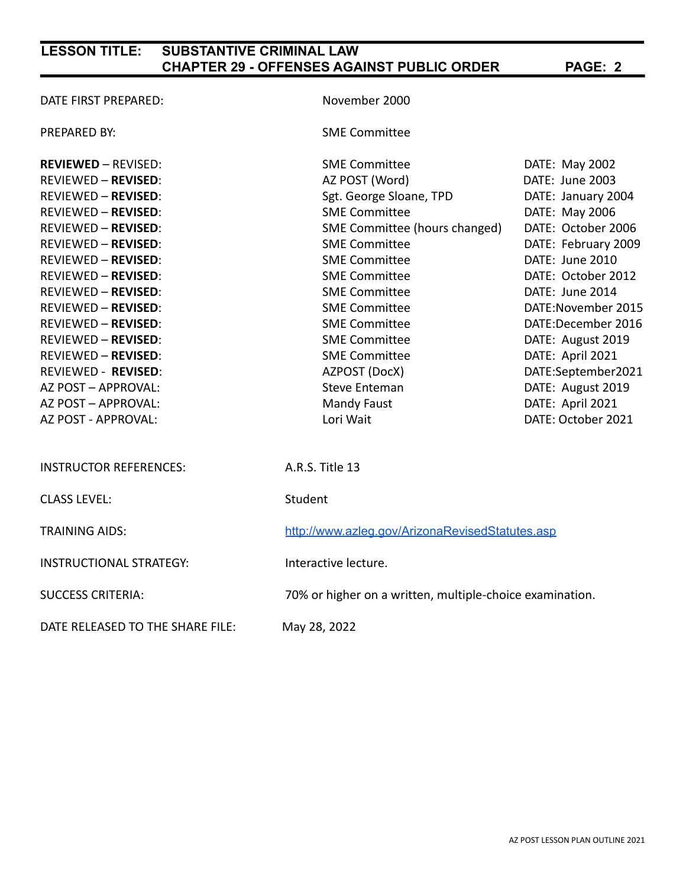| DATE FIRST PREPARED:             | November 2000                                            |                     |  |
|----------------------------------|----------------------------------------------------------|---------------------|--|
| PREPARED BY:                     | <b>SME Committee</b>                                     |                     |  |
| <b>REVIEWED - REVISED:</b>       | <b>SME Committee</b>                                     | DATE: May 2002      |  |
| <b>REVIEWED - REVISED:</b>       | AZ POST (Word)                                           | DATE: June 2003     |  |
| <b>REVIEWED - REVISED:</b>       | Sgt. George Sloane, TPD                                  | DATE: January 2004  |  |
| <b>REVIEWED - REVISED:</b>       | <b>SME Committee</b>                                     | DATE: May 2006      |  |
| <b>REVIEWED - REVISED:</b>       | SME Committee (hours changed)                            | DATE: October 2006  |  |
| <b>REVIEWED - REVISED:</b>       | <b>SME Committee</b>                                     | DATE: February 2009 |  |
| <b>REVIEWED - REVISED:</b>       | <b>SME Committee</b>                                     | DATE: June 2010     |  |
| <b>REVIEWED - REVISED:</b>       | <b>SME Committee</b>                                     | DATE: October 2012  |  |
| <b>REVIEWED - REVISED:</b>       | <b>SME Committee</b>                                     | DATE: June 2014     |  |
| <b>REVIEWED - REVISED:</b>       | <b>SME Committee</b>                                     | DATE:November 2015  |  |
| <b>REVIEWED - REVISED:</b>       | <b>SME Committee</b>                                     | DATE:December 2016  |  |
| <b>REVIEWED - REVISED:</b>       | <b>SME Committee</b>                                     | DATE: August 2019   |  |
| <b>REVIEWED - REVISED:</b>       | <b>SME Committee</b>                                     | DATE: April 2021    |  |
| <b>REVIEWED - REVISED:</b>       | AZPOST (DocX)                                            | DATE:September2021  |  |
| AZ POST - APPROVAL:              | <b>Steve Enteman</b>                                     | DATE: August 2019   |  |
| AZ POST - APPROVAL:              | Mandy Faust                                              | DATE: April 2021    |  |
| AZ POST - APPROVAL:              | Lori Wait                                                | DATE: October 2021  |  |
| <b>INSTRUCTOR REFERENCES:</b>    | A.R.S. Title 13                                          |                     |  |
| <b>CLASS LEVEL:</b>              | Student                                                  |                     |  |
| <b>TRAINING AIDS:</b>            | http://www.azleg.gov/ArizonaRevisedStatutes.asp          |                     |  |
| <b>INSTRUCTIONAL STRATEGY:</b>   | Interactive lecture.                                     |                     |  |
| <b>SUCCESS CRITERIA:</b>         | 70% or higher on a written, multiple-choice examination. |                     |  |
| DATE RELEASED TO THE SHARE FILE: | May 28, 2022                                             |                     |  |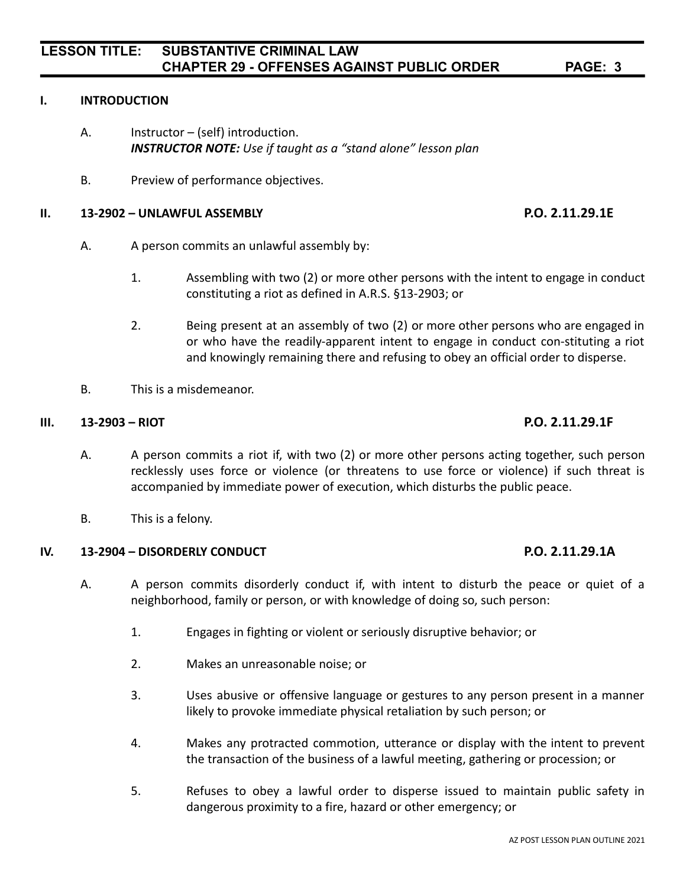#### **I. INTRODUCTION**

- A. Instructor (self) introduction. *INSTRUCTOR NOTE: Use if taught as a "stand alone" lesson plan*
- B. Preview of performance objectives.

#### **II. 13-2902 – UNLAWFUL ASSEMBLY P.O. 2.11.29.1E**

- A. A person commits an unlawful assembly by:
	- 1. Assembling with two (2) or more other persons with the intent to engage in conduct constituting a riot as defined in A.R.S. §13-2903; or
	- 2. Being present at an assembly of two (2) or more other persons who are engaged in or who have the readily-apparent intent to engage in conduct con-stituting a riot and knowingly remaining there and refusing to obey an official order to disperse.
- B. This is a misdemeanor.

### **III. 13-2903 – RIOT P.O. 2.11.29.1F**

- A. A person commits a riot if, with two (2) or more other persons acting together, such person recklessly uses force or violence (or threatens to use force or violence) if such threat is accompanied by immediate power of execution, which disturbs the public peace.
- B. This is a felony.

### **IV. 13-2904 – DISORDERLY CONDUCT P.O. 2.11.29.1A**

- A. A person commits disorderly conduct if, with intent to disturb the peace or quiet of a neighborhood, family or person, or with knowledge of doing so, such person:
	- 1. Engages in fighting or violent or seriously disruptive behavior; or
	- 2. Makes an unreasonable noise; or
	- 3. Uses abusive or offensive language or gestures to any person present in a manner likely to provoke immediate physical retaliation by such person; or
	- 4. Makes any protracted commotion, utterance or display with the intent to prevent the transaction of the business of a lawful meeting, gathering or procession; or
	- 5. Refuses to obey a lawful order to disperse issued to maintain public safety in dangerous proximity to a fire, hazard or other emergency; or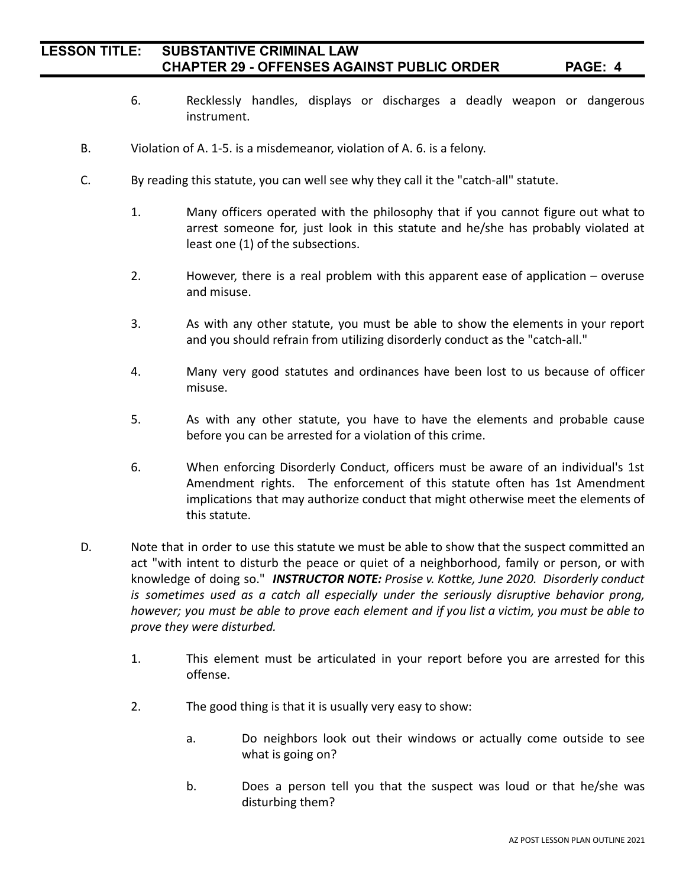- 6. Recklessly handles, displays or discharges a deadly weapon or dangerous instrument.
- B. Violation of A. 1-5. is a misdemeanor, violation of A. 6. is a felony.
- C. By reading this statute, you can well see why they call it the "catch-all" statute.
	- 1. Many officers operated with the philosophy that if you cannot figure out what to arrest someone for, just look in this statute and he/she has probably violated at least one (1) of the subsections.
	- 2. However, there is a real problem with this apparent ease of application overuse and misuse.
	- 3. As with any other statute, you must be able to show the elements in your report and you should refrain from utilizing disorderly conduct as the "catch-all."
	- 4. Many very good statutes and ordinances have been lost to us because of officer misuse.
	- 5. As with any other statute, you have to have the elements and probable cause before you can be arrested for a violation of this crime.
	- 6. When enforcing Disorderly Conduct, officers must be aware of an individual's 1st Amendment rights. The enforcement of this statute often has 1st Amendment implications that may authorize conduct that might otherwise meet the elements of this statute.
- D. Note that in order to use this statute we must be able to show that the suspect committed an act "with intent to disturb the peace or quiet of a neighborhood, family or person, or with knowledge of doing so." *INSTRUCTOR NOTE: Prosise v. Kottke, June 2020. Disorderly conduct is sometimes used as a catch all especially under the seriously disruptive behavior prong,* however; you must be able to prove each element and if you list a victim, you must be able to *prove they were disturbed.*
	- 1. This element must be articulated in your report before you are arrested for this offense.
	- 2. The good thing is that it is usually very easy to show:
		- a. Do neighbors look out their windows or actually come outside to see what is going on?
		- b. Does a person tell you that the suspect was loud or that he/she was disturbing them?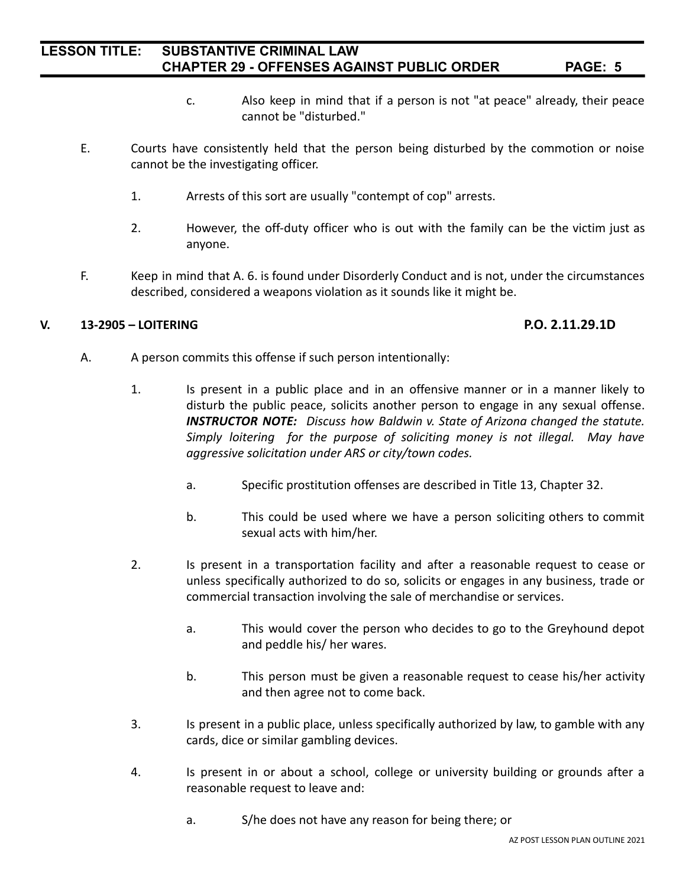- c. Also keep in mind that if a person is not "at peace" already, their peace cannot be "disturbed."
- E. Courts have consistently held that the person being disturbed by the commotion or noise cannot be the investigating officer.
	- 1. Arrests of this sort are usually "contempt of cop" arrests.
	- 2. However, the off-duty officer who is out with the family can be the victim just as anyone.
- F. Keep in mind that A. 6. is found under Disorderly Conduct and is not, under the circumstances described, considered a weapons violation as it sounds like it might be.

#### **V. 13-2905 – LOITERING P.O. 2.11.29.1D**

- A. A person commits this offense if such person intentionally:
	- 1. Is present in a public place and in an offensive manner or in a manner likely to disturb the public peace, solicits another person to engage in any sexual offense. *INSTRUCTOR NOTE: Discuss how Baldwin v. State of Arizona changed the statute. Simply loitering for the purpose of soliciting money is not illegal. May have aggressive solicitation under ARS or city/town codes.*
		- a. Specific prostitution offenses are described in Title 13, Chapter 32.
		- b. This could be used where we have a person soliciting others to commit sexual acts with him/her.
	- 2. Is present in a transportation facility and after a reasonable request to cease or unless specifically authorized to do so, solicits or engages in any business, trade or commercial transaction involving the sale of merchandise or services.
		- a. This would cover the person who decides to go to the Greyhound depot and peddle his/ her wares.
		- b. This person must be given a reasonable request to cease his/her activity and then agree not to come back.
	- 3. Is present in a public place, unless specifically authorized by law, to gamble with any cards, dice or similar gambling devices.
	- 4. Is present in or about a school, college or university building or grounds after a reasonable request to leave and:
		- a. S/he does not have any reason for being there; or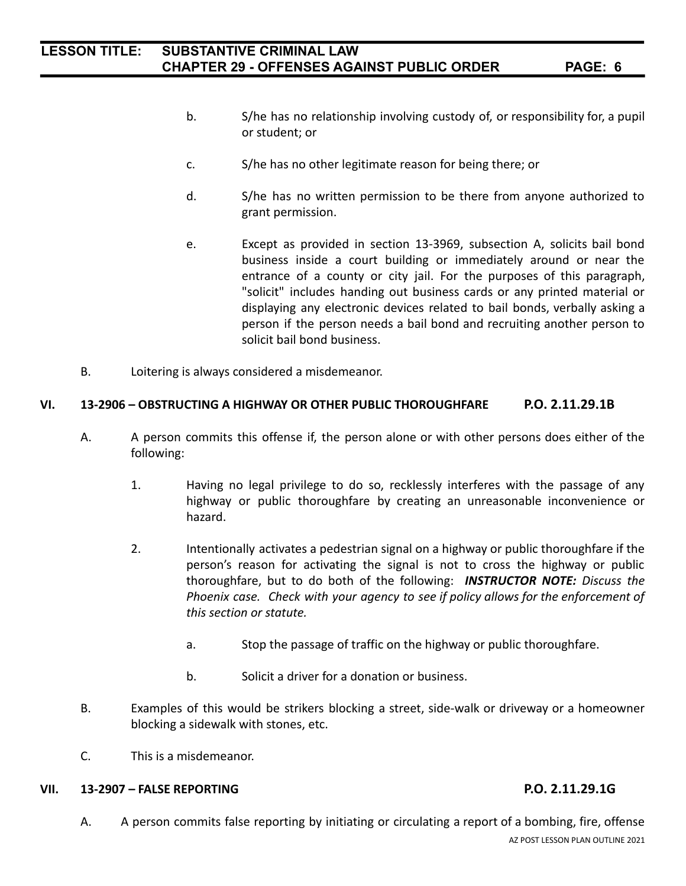- b. S/he has no relationship involving custody of, or responsibility for, a pupil or student; or
- c. S/he has no other legitimate reason for being there; or
- d. S/he has no written permission to be there from anyone authorized to grant permission.
- e. Except as provided in section 13-3969, subsection A, solicits bail bond business inside a court building or immediately around or near the entrance of a county or city jail. For the purposes of this paragraph, "solicit" includes handing out business cards or any printed material or displaying any electronic devices related to bail bonds, verbally asking a person if the person needs a bail bond and recruiting another person to solicit bail bond business.
- B. Loitering is always considered a misdemeanor.

### **VI. 13-2906 – OBSTRUCTING A HIGHWAY OR OTHER PUBLIC THOROUGHFARE P.O. 2.11.29.1B**

- A. A person commits this offense if, the person alone or with other persons does either of the following:
	- 1. Having no legal privilege to do so, recklessly interferes with the passage of any highway or public thoroughfare by creating an unreasonable inconvenience or hazard.
	- 2. Intentionally activates a pedestrian signal on a highway or public thoroughfare if the person's reason for activating the signal is not to cross the highway or public thoroughfare, but to do both of the following: *INSTRUCTOR NOTE: Discuss the Phoenix case. Check with your agency to see if policy allows for the enforcement of this section or statute.*
		- a. Stop the passage of traffic on the highway or public thoroughfare.
		- b. Solicit a driver for a donation or business.
- B. Examples of this would be strikers blocking a street, side-walk or driveway or a homeowner blocking a sidewalk with stones, etc.
- C. This is a misdemeanor.

#### **VII. 13-2907 – FALSE REPORTING P.O. 2.11.29.1G**

A. A person commits false reporting by initiating or circulating a report of a bombing, fire, offense AZ POST LESSON PLAN OUTLINE 2021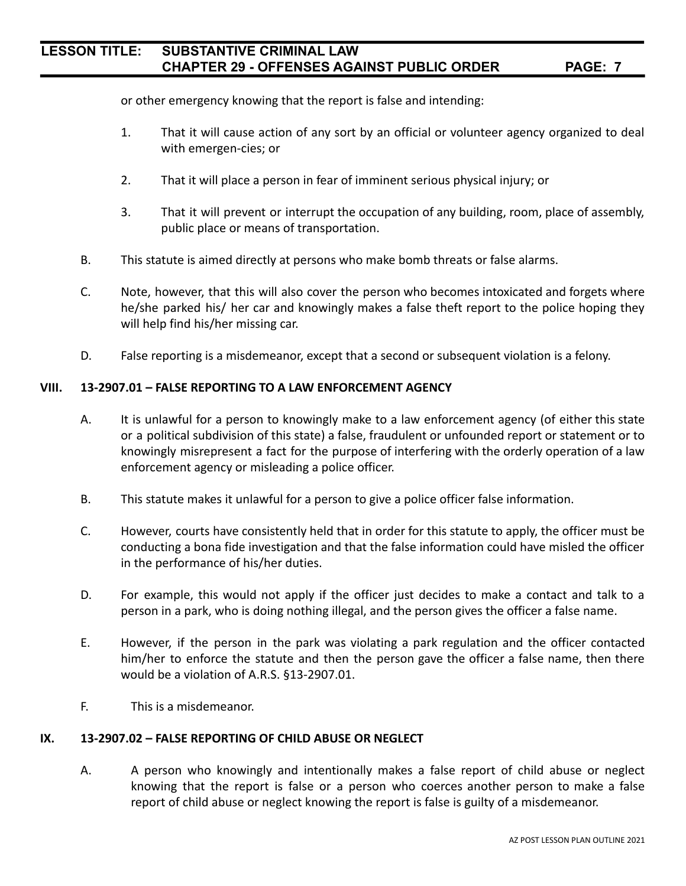or other emergency knowing that the report is false and intending:

- 1. That it will cause action of any sort by an official or volunteer agency organized to deal with emergen-cies; or
- 2. That it will place a person in fear of imminent serious physical injury; or
- 3. That it will prevent or interrupt the occupation of any building, room, place of assembly, public place or means of transportation.
- B. This statute is aimed directly at persons who make bomb threats or false alarms.
- C. Note, however, that this will also cover the person who becomes intoxicated and forgets where he/she parked his/ her car and knowingly makes a false theft report to the police hoping they will help find his/her missing car.
- D. False reporting is a misdemeanor, except that a second or subsequent violation is a felony.

### **VIII. 13-2907.01 – FALSE REPORTING TO A LAW ENFORCEMENT AGENCY**

- A. It is unlawful for a person to knowingly make to a law enforcement agency (of either this state or a political subdivision of this state) a false, fraudulent or unfounded report or statement or to knowingly misrepresent a fact for the purpose of interfering with the orderly operation of a law enforcement agency or misleading a police officer.
- B. This statute makes it unlawful for a person to give a police officer false information.
- C. However, courts have consistently held that in order for this statute to apply, the officer must be conducting a bona fide investigation and that the false information could have misled the officer in the performance of his/her duties.
- D. For example, this would not apply if the officer just decides to make a contact and talk to a person in a park, who is doing nothing illegal, and the person gives the officer a false name.
- E. However, if the person in the park was violating a park regulation and the officer contacted him/her to enforce the statute and then the person gave the officer a false name, then there would be a violation of A.R.S. §13-2907.01.
- F. This is a misdemeanor.

#### **IX. 13-2907.02 – FALSE REPORTING OF CHILD ABUSE OR NEGLECT**

A. A person who knowingly and intentionally makes a false report of child abuse or neglect knowing that the report is false or a person who coerces another person to make a false report of child abuse or neglect knowing the report is false is guilty of a misdemeanor.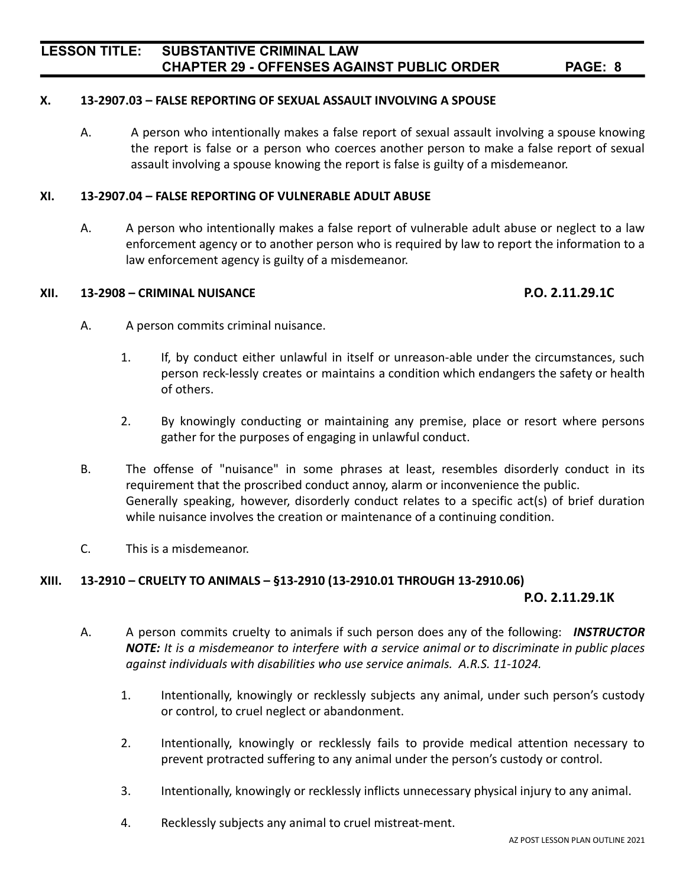### **X. 13-2907.03 – FALSE REPORTING OF SEXUAL ASSAULT INVOLVING A SPOUSE**

A. A person who intentionally makes a false report of sexual assault involving a spouse knowing the report is false or a person who coerces another person to make a false report of sexual assault involving a spouse knowing the report is false is guilty of a misdemeanor.

#### **XI. 13-2907.04 – FALSE REPORTING OF VULNERABLE ADULT ABUSE**

A. A person who intentionally makes a false report of vulnerable adult abuse or neglect to a law enforcement agency or to another person who is required by law to report the information to a law enforcement agency is guilty of a misdemeanor.

#### **XII. 13-2908 – CRIMINAL NUISANCE P.O. 2.11.29.1C**

- A. A person commits criminal nuisance.
	- 1. If, by conduct either unlawful in itself or unreason-able under the circumstances, such person reck-lessly creates or maintains a condition which endangers the safety or health of others.
	- 2. By knowingly conducting or maintaining any premise, place or resort where persons gather for the purposes of engaging in unlawful conduct.
- B. The offense of "nuisance" in some phrases at least, resembles disorderly conduct in its requirement that the proscribed conduct annoy, alarm or inconvenience the public. Generally speaking, however, disorderly conduct relates to a specific act(s) of brief duration while nuisance involves the creation or maintenance of a continuing condition.
- C. This is a misdemeanor.

#### **XIII. 13-2910 – CRUELTY TO ANIMALS – §13-2910 (13-2910.01 THROUGH 13-2910.06)**

#### **P.O. 2.11.29.1K**

- A. A person commits cruelty to animals if such person does any of the following: *INSTRUCTOR NOTE: It is a misdemeanor to interfere with a service animal or to discriminate in public places against individuals with disabilities who use service animals. A.R.S. 11-1024.*
	- 1. Intentionally, knowingly or recklessly subjects any animal, under such person's custody or control, to cruel neglect or abandonment.
	- 2. Intentionally, knowingly or recklessly fails to provide medical attention necessary to prevent protracted suffering to any animal under the person's custody or control.
	- 3. Intentionally, knowingly or recklessly inflicts unnecessary physical injury to any animal.
	- 4. Recklessly subjects any animal to cruel mistreat-ment.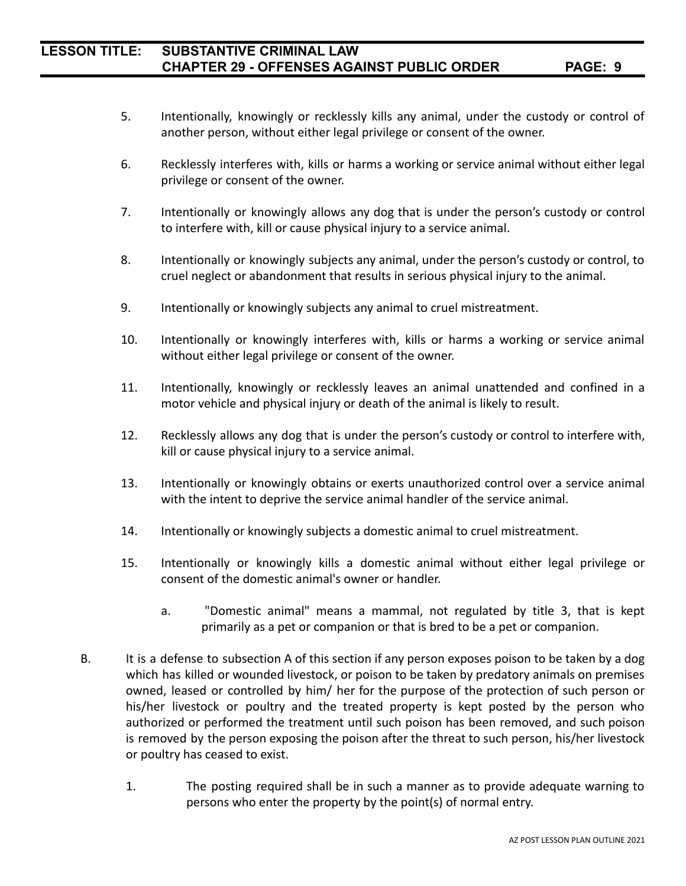- 5. Intentionally, knowingly or recklessly kills any animal, under the custody or control of another person, without either legal privilege or consent of the owner.
- 6. Recklessly interferes with, kills or harms a working or service animal without either legal privilege or consent of the owner.
- 7. Intentionally or knowingly allows any dog that is under the person's custody or control to interfere with, kill or cause physical injury to a service animal.
- 8. Intentionally or knowingly subjects any animal, under the person's custody or control, to cruel neglect or abandonment that results in serious physical injury to the animal.
- 9. Intentionally or knowingly subjects any animal to cruel mistreatment.
- 10. Intentionally or knowingly interferes with, kills or harms a working or service animal without either legal privilege or consent of the owner.
- 11. Intentionally, knowingly or recklessly leaves an animal unattended and confined in a motor vehicle and physical injury or death of the animal is likely to result.
- 12. Recklessly allows any dog that is under the person's custody or control to interfere with, kill or cause physical injury to a service animal.
- 13. Intentionally or knowingly obtains or exerts unauthorized control over a service animal with the intent to deprive the service animal handler of the service animal.
- 14. Intentionally or knowingly subjects a domestic animal to cruel mistreatment.
- 15. Intentionally or knowingly kills a domestic animal without either legal privilege or consent of the domestic animal's owner or handler.
	- a. "Domestic animal" means a mammal, not regulated by title 3, that is kept primarily as a pet or companion or that is bred to be a pet or companion.
- B. It is a defense to subsection A of this section if any person exposes poison to be taken by a dog which has killed or wounded livestock, or poison to be taken by predatory animals on premises owned, leased or controlled by him/ her for the purpose of the protection of such person or his/her livestock or poultry and the treated property is kept posted by the person who authorized or performed the treatment until such poison has been removed, and such poison is removed by the person exposing the poison after the threat to such person, his/her livestock or poultry has ceased to exist.
	- 1. The posting required shall be in such a manner as to provide adequate warning to persons who enter the property by the point(s) of normal entry.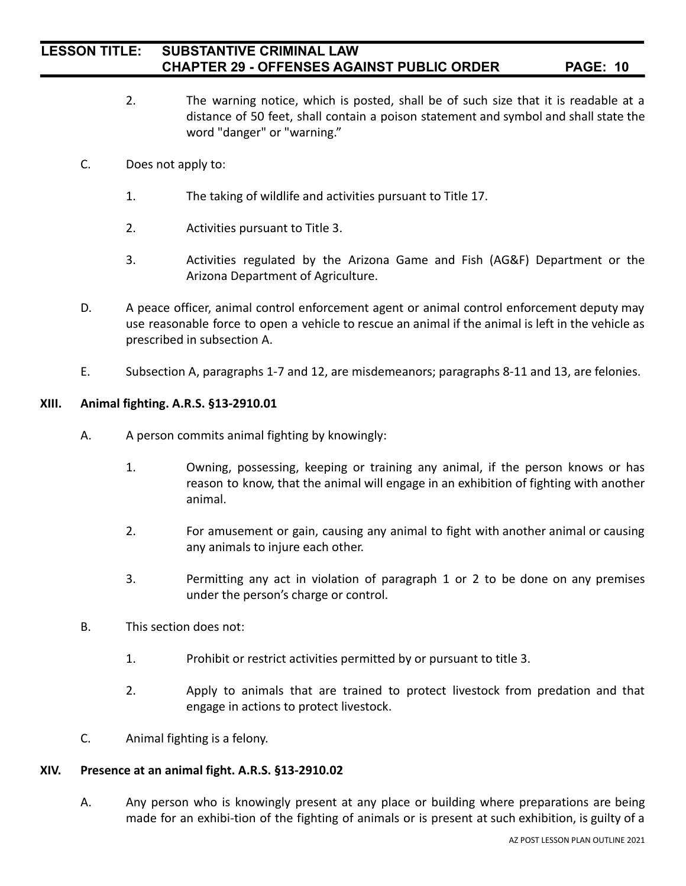- 2. The warning notice, which is posted, shall be of such size that it is readable at a distance of 50 feet, shall contain a poison statement and symbol and shall state the word "danger" or "warning."
- C. Does not apply to:
	- 1. The taking of wildlife and activities pursuant to Title 17.
	- 2. Activities pursuant to Title 3.
	- 3. Activities regulated by the Arizona Game and Fish (AG&F) Department or the Arizona Department of Agriculture.
- D. A peace officer, animal control enforcement agent or animal control enforcement deputy may use reasonable force to open a vehicle to rescue an animal if the animal is left in the vehicle as prescribed in subsection A.
- E. Subsection A, paragraphs 1-7 and 12, are misdemeanors; paragraphs 8-11 and 13, are felonies.

#### **XIII. Animal fighting. A.R.S. §13-2910.01**

- A. A person commits animal fighting by knowingly:
	- 1. Owning, possessing, keeping or training any animal, if the person knows or has reason to know, that the animal will engage in an exhibition of fighting with another animal.
	- 2. For amusement or gain, causing any animal to fight with another animal or causing any animals to injure each other.
	- 3. Permitting any act in violation of paragraph 1 or 2 to be done on any premises under the person's charge or control.
- B. This section does not:
	- 1. Prohibit or restrict activities permitted by or pursuant to title 3.
	- 2. Apply to animals that are trained to protect livestock from predation and that engage in actions to protect livestock.
- C. Animal fighting is a felony.

#### **XIV. Presence at an animal fight. A.R.S. §13-2910.02**

A. Any person who is knowingly present at any place or building where preparations are being made for an exhibi-tion of the fighting of animals or is present at such exhibition, is guilty of a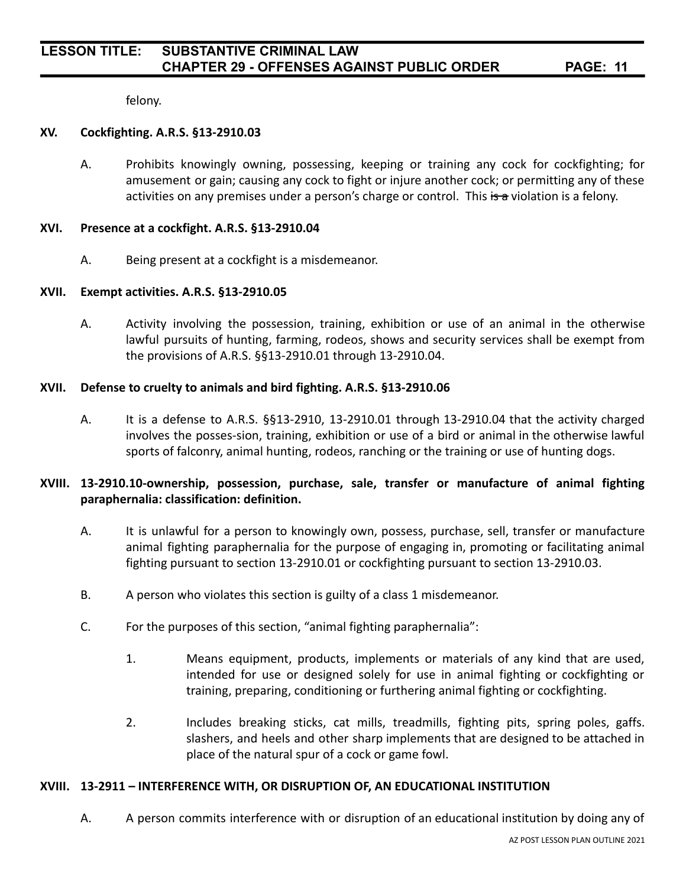felony.

### **XV. Cockfighting. A.R.S. §13-2910.03**

A. Prohibits knowingly owning, possessing, keeping or training any cock for cockfighting; for amusement or gain; causing any cock to fight or injure another cock; or permitting any of these activities on any premises under a person's charge or control. This  $\frac{1}{5}$  a violation is a felony.

#### **XVI. Presence at a cockfight. A.R.S. §13-2910.04**

A. Being present at a cockfight is a misdemeanor.

### **XVII. Exempt activities. A.R.S. §13-2910.05**

A. Activity involving the possession, training, exhibition or use of an animal in the otherwise lawful pursuits of hunting, farming, rodeos, shows and security services shall be exempt from the provisions of A.R.S. §§13-2910.01 through 13-2910.04.

### **XVII. Defense to cruelty to animals and bird fighting. A.R.S. §13-2910.06**

A. It is a defense to A.R.S. §§13-2910, 13-2910.01 through 13-2910.04 that the activity charged involves the posses-sion, training, exhibition or use of a bird or animal in the otherwise lawful sports of falconry, animal hunting, rodeos, ranching or the training or use of hunting dogs.

## **XVIII. 13-2910.10-ownership, possession, purchase, sale, transfer or manufacture of animal fighting paraphernalia: classification: definition.**

- A. It is unlawful for a person to knowingly own, possess, purchase, sell, transfer or manufacture animal fighting paraphernalia for the purpose of engaging in, promoting or facilitating animal fighting pursuant to section 13-2910.01 or cockfighting pursuant to section 13-2910.03.
- B. A person who violates this section is guilty of a class 1 misdemeanor.
- C. For the purposes of this section, "animal fighting paraphernalia":
	- 1. Means equipment, products, implements or materials of any kind that are used, intended for use or designed solely for use in animal fighting or cockfighting or training, preparing, conditioning or furthering animal fighting or cockfighting.
	- 2. Includes breaking sticks, cat mills, treadmills, fighting pits, spring poles, gaffs. slashers, and heels and other sharp implements that are designed to be attached in place of the natural spur of a cock or game fowl.

#### **XVIII. 13-2911 – INTERFERENCE WITH, OR DISRUPTION OF, AN EDUCATIONAL INSTITUTION**

A. A person commits interference with or disruption of an educational institution by doing any of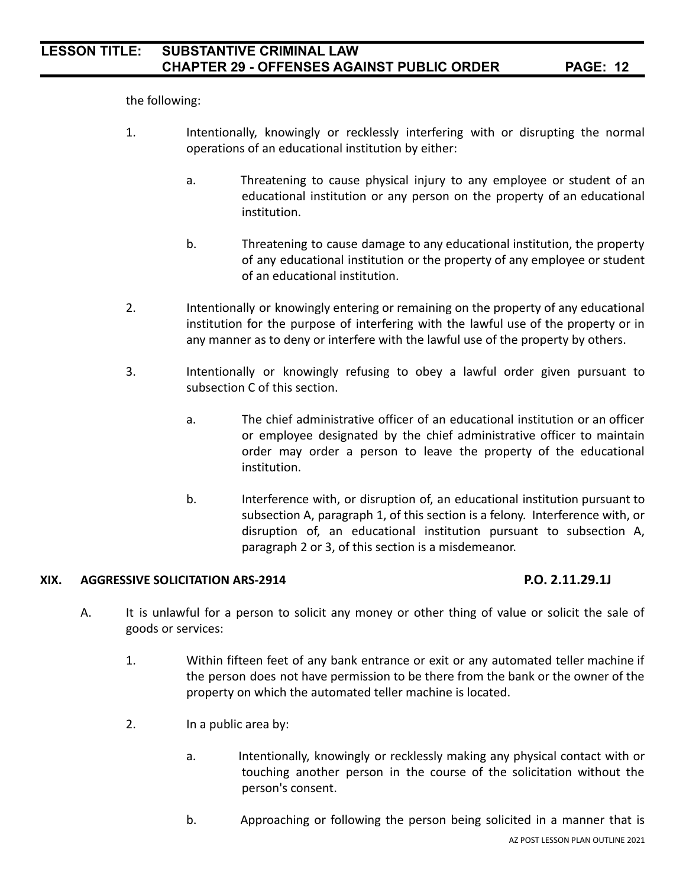the following:

- 1. Intentionally, knowingly or recklessly interfering with or disrupting the normal operations of an educational institution by either:
	- a. Threatening to cause physical injury to any employee or student of an educational institution or any person on the property of an educational institution.
	- b. Threatening to cause damage to any educational institution, the property of any educational institution or the property of any employee or student of an educational institution.
- 2. Intentionally or knowingly entering or remaining on the property of any educational institution for the purpose of interfering with the lawful use of the property or in any manner as to deny or interfere with the lawful use of the property by others.
- 3. Intentionally or knowingly refusing to obey a lawful order given pursuant to subsection C of this section.
	- a. The chief administrative officer of an educational institution or an officer or employee designated by the chief administrative officer to maintain order may order a person to leave the property of the educational institution.
	- b. Interference with, or disruption of, an educational institution pursuant to subsection A, paragraph 1, of this section is a felony. Interference with, or disruption of, an educational institution pursuant to subsection A, paragraph 2 or 3, of this section is a misdemeanor.

### **XIX. AGGRESSIVE SOLICITATION ARS-2914 P.O. 2.11.29.1J**

- A. It is unlawful for a person to solicit any money or other thing of value or solicit the sale of goods or services:
	- 1. Within fifteen feet of any bank entrance or exit or any automated teller machine if the person does not have permission to be there from the bank or the owner of the property on which the automated teller machine is located.
	- 2. In a public area by:
		- a. Intentionally, knowingly or recklessly making any physical contact with or touching another person in the course of the solicitation without the person's consent.
		- b. Approaching or following the person being solicited in a manner that is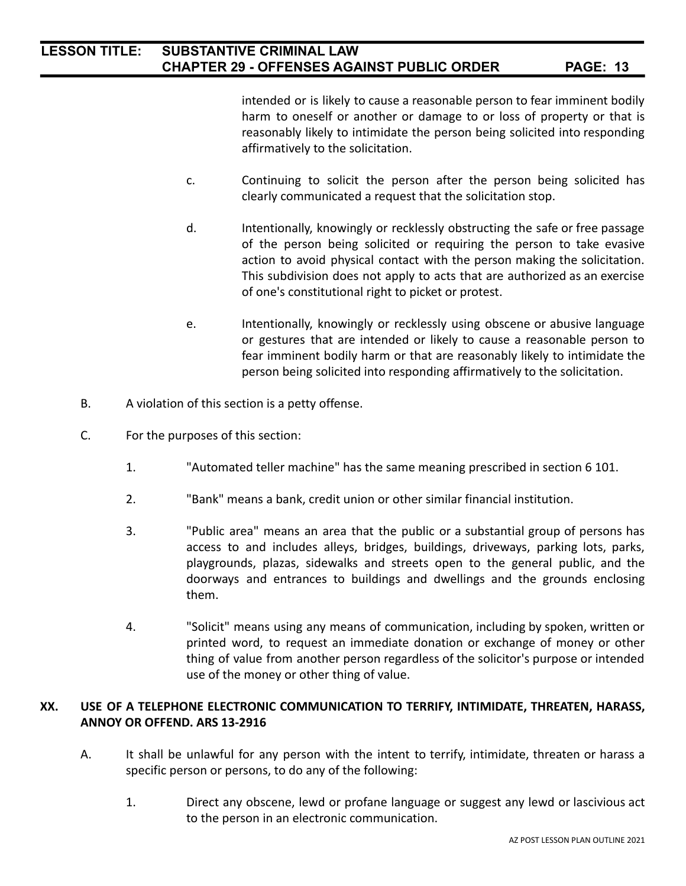intended or is likely to cause a reasonable person to fear imminent bodily harm to oneself or another or damage to or loss of property or that is reasonably likely to intimidate the person being solicited into responding affirmatively to the solicitation.

- c. Continuing to solicit the person after the person being solicited has clearly communicated a request that the solicitation stop.
- d. Intentionally, knowingly or recklessly obstructing the safe or free passage of the person being solicited or requiring the person to take evasive action to avoid physical contact with the person making the solicitation. This subdivision does not apply to acts that are authorized as an exercise of one's constitutional right to picket or protest.
- e. Intentionally, knowingly or recklessly using obscene or abusive language or gestures that are intended or likely to cause a reasonable person to fear imminent bodily harm or that are reasonably likely to intimidate the person being solicited into responding affirmatively to the solicitation.
- B. A violation of this section is a petty offense.
- C. For the purposes of this section:
	- 1. "Automated teller machine" has the same meaning prescribed in section 6 101.
	- 2. "Bank" means a bank, credit union or other similar financial institution.
	- 3. "Public area" means an area that the public or a substantial group of persons has access to and includes alleys, bridges, buildings, driveways, parking lots, parks, playgrounds, plazas, sidewalks and streets open to the general public, and the doorways and entrances to buildings and dwellings and the grounds enclosing them.
	- 4. "Solicit" means using any means of communication, including by spoken, written or printed word, to request an immediate donation or exchange of money or other thing of value from another person regardless of the solicitor's purpose or intended use of the money or other thing of value.

### **XX. USE OF A TELEPHONE ELECTRONIC COMMUNICATION TO TERRIFY, INTIMIDATE, THREATEN, HARASS, ANNOY OR OFFEND. ARS 13-2916**

- A. It shall be unlawful for any person with the intent to terrify, intimidate, threaten or harass a specific person or persons, to do any of the following:
	- 1. Direct any obscene, lewd or profane language or suggest any lewd or lascivious act to the person in an electronic communication.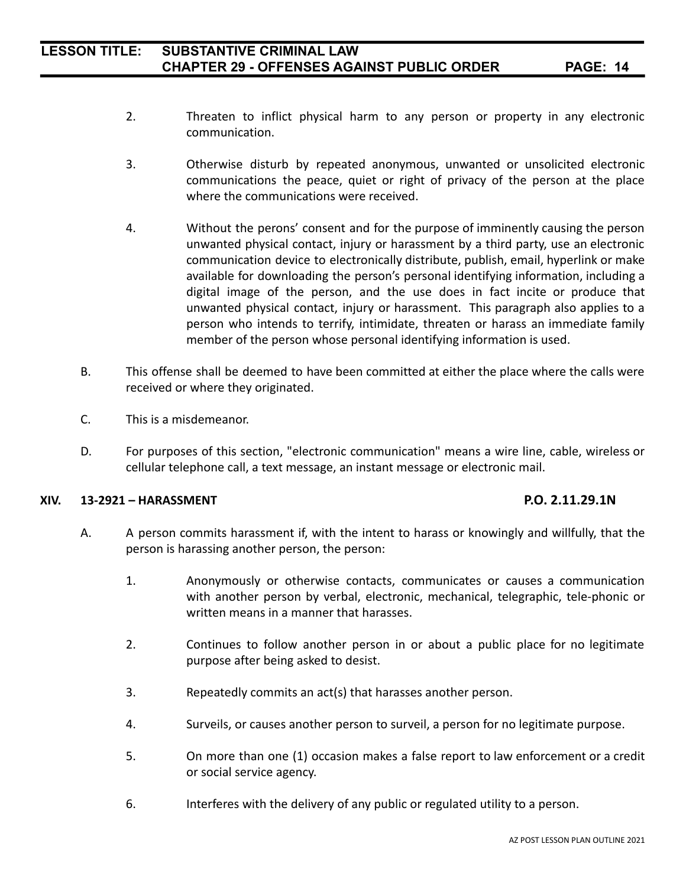- 2. Threaten to inflict physical harm to any person or property in any electronic communication.
- 3. Otherwise disturb by repeated anonymous, unwanted or unsolicited electronic communications the peace, quiet or right of privacy of the person at the place where the communications were received.
- 4. Without the perons' consent and for the purpose of imminently causing the person unwanted physical contact, injury or harassment by a third party, use an electronic communication device to electronically distribute, publish, email, hyperlink or make available for downloading the person's personal identifying information, including a digital image of the person, and the use does in fact incite or produce that unwanted physical contact, injury or harassment. This paragraph also applies to a person who intends to terrify, intimidate, threaten or harass an immediate family member of the person whose personal identifying information is used.
- B. This offense shall be deemed to have been committed at either the place where the calls were received or where they originated.
- C. This is a misdemeanor.
- D. For purposes of this section, "electronic communication" means a wire line, cable, wireless or cellular telephone call, a text message, an instant message or electronic mail.

## **XIV. 13-2921 – HARASSMENT P.O. 2.11.29.1N**

- A. A person commits harassment if, with the intent to harass or knowingly and willfully, that the person is harassing another person, the person:
	- 1. Anonymously or otherwise contacts, communicates or causes a communication with another person by verbal, electronic, mechanical, telegraphic, tele-phonic or written means in a manner that harasses.
	- 2. Continues to follow another person in or about a public place for no legitimate purpose after being asked to desist.
	- 3. Repeatedly commits an act(s) that harasses another person.
	- 4. Surveils, or causes another person to surveil, a person for no legitimate purpose.
	- 5. On more than one (1) occasion makes a false report to law enforcement or a credit or social service agency.
	- 6. Interferes with the delivery of any public or regulated utility to a person.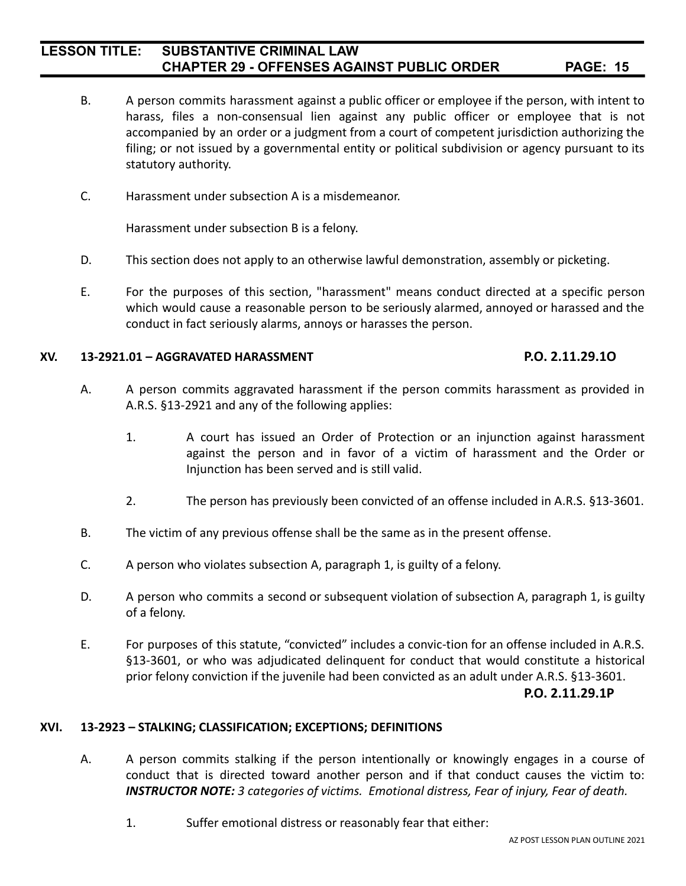- B. A person commits harassment against a public officer or employee if the person, with intent to harass, files a non-consensual lien against any public officer or employee that is not accompanied by an order or a judgment from a court of competent jurisdiction authorizing the filing; or not issued by a governmental entity or political subdivision or agency pursuant to its statutory authority.
- C. Harassment under subsection A is a misdemeanor.

Harassment under subsection B is a felony.

- D. This section does not apply to an otherwise lawful demonstration, assembly or picketing.
- E. For the purposes of this section, "harassment" means conduct directed at a specific person which would cause a reasonable person to be seriously alarmed, annoyed or harassed and the conduct in fact seriously alarms, annoys or harasses the person.

#### **XV. 13-2921.01 – AGGRAVATED HARASSMENT P.O. 2.11.29.1O**

- A. A person commits aggravated harassment if the person commits harassment as provided in A.R.S. §13-2921 and any of the following applies:
	- 1. A court has issued an Order of Protection or an injunction against harassment against the person and in favor of a victim of harassment and the Order or Injunction has been served and is still valid.
	- 2. The person has previously been convicted of an offense included in A.R.S. §13-3601.
- B. The victim of any previous offense shall be the same as in the present offense.
- C. A person who violates subsection A, paragraph 1, is guilty of a felony.
- D. A person who commits a second or subsequent violation of subsection A, paragraph 1, is guilty of a felony.
- E. For purposes of this statute, "convicted" includes a convic-tion for an offense included in A.R.S. §13-3601, or who was adjudicated delinquent for conduct that would constitute a historical prior felony conviction if the juvenile had been convicted as an adult under A.R.S. §13-3601.

#### **P.O. 2.11.29.1P**

#### **XVI. 13-2923 – STALKING; CLASSIFICATION; EXCEPTIONS; DEFINITIONS**

- A. A person commits stalking if the person intentionally or knowingly engages in a course of conduct that is directed toward another person and if that conduct causes the victim to: *INSTRUCTOR NOTE: 3 categories of victims. Emotional distress, Fear of injury, Fear of death.*
	- 1. Suffer emotional distress or reasonably fear that either: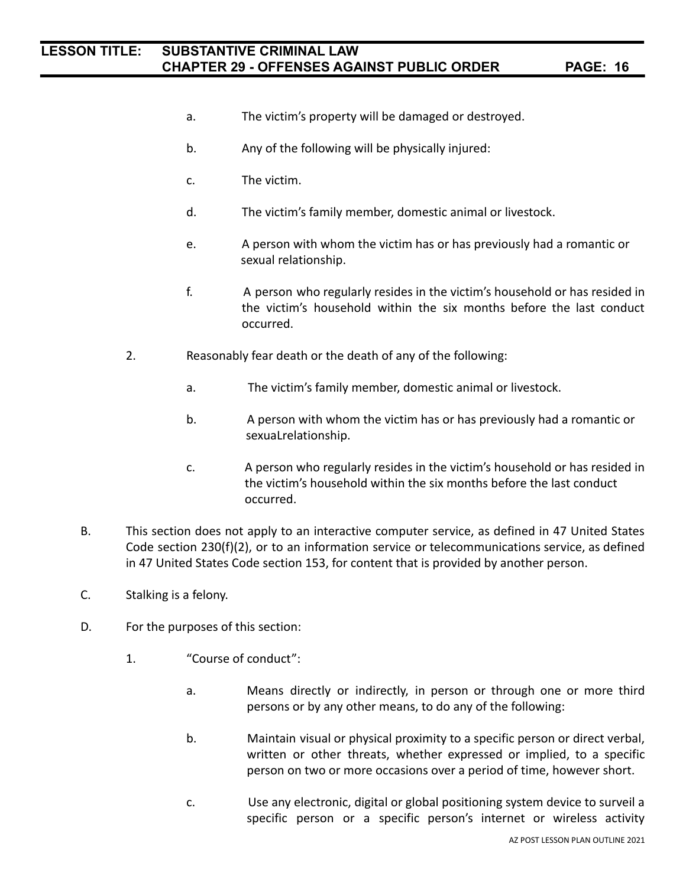- a. The victim's property will be damaged or destroyed.
- b. Any of the following will be physically injured:
- c. The victim.
- d. The victim's family member, domestic animal or livestock.
- e. A person with whom the victim has or has previously had a romantic or sexual relationship.
- f. A person who regularly resides in the victim's household or has resided in the victim's household within the six months before the last conduct occurred.
- 2. Reasonably fear death or the death of any of the following:
	- a. The victim's family member, domestic animal or livestock.
	- b. A person with whom the victim has or has previously had a romantic or sexuaLrelationship.
	- c. A person who regularly resides in the victim's household or has resided in the victim's household within the six months before the last conduct occurred.
- B. This section does not apply to an interactive computer service, as defined in 47 United States Code section 230(f)(2), or to an information service or telecommunications service, as defined in 47 United States Code section 153, for content that is provided by another person.
- C. Stalking is a felony.
- D. For the purposes of this section:
	- 1. "Course of conduct":
		- a. Means directly or indirectly, in person or through one or more third persons or by any other means, to do any of the following:
		- b. Maintain visual or physical proximity to a specific person or direct verbal, written or other threats, whether expressed or implied, to a specific person on two or more occasions over a period of time, however short.
		- c. Use any electronic, digital or global positioning system device to surveil a specific person or a specific person's internet or wireless activity